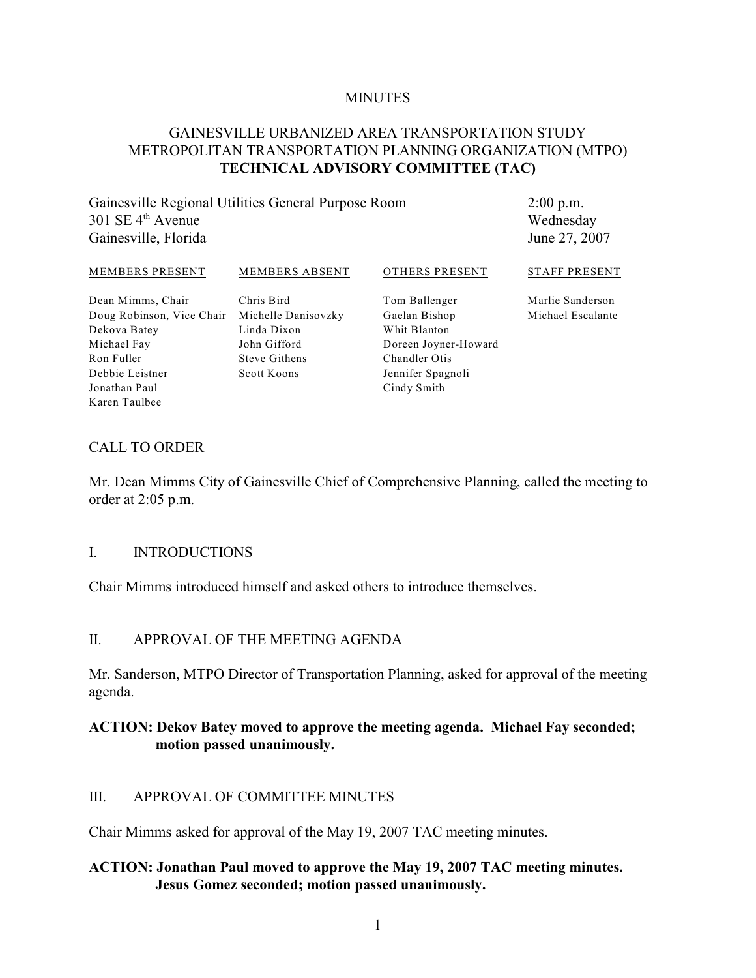#### **MINUTES**

## GAINESVILLE URBANIZED AREA TRANSPORTATION STUDY METROPOLITAN TRANSPORTATION PLANNING ORGANIZATION (MTPO) **TECHNICAL ADVISORY COMMITTEE (TAC)**

Gainesville Regional Utilities General Purpose Room  $301$  SE  $4<sup>th</sup>$  Avenue Gainesville, Florida

2:00 p.m. Wednesday June 27, 2007

#### MEMBERS PRESENT MEMBERS ABSENT OTHERS PRESENT STAFF PRESENT

Dean Mimms, Chair Doug Robinson, Vice Chair Michelle Danisovzky Dekova Batey Michael Fay Ron Fuller Debbie Leistner Jonathan Paul Karen Taulbee

Chris Bird Linda Dixon John Gifford Steve Githens Scott Koons

Tom Ballenger Gaelan Bishop Whit Blanton Doreen Joyner-Howard Chandler Otis Jennifer Spagnoli Cindy Smith

Marlie Sanderson

Michael Escalante

#### CALL TO ORDER

Mr. Dean Mimms City of Gainesville Chief of Comprehensive Planning, called the meeting to order at 2:05 p.m.

#### I. INTRODUCTIONS

Chair Mimms introduced himself and asked others to introduce themselves.

#### II. APPROVAL OF THE MEETING AGENDA

Mr. Sanderson, MTPO Director of Transportation Planning, asked for approval of the meeting agenda.

#### **ACTION: Dekov Batey moved to approve the meeting agenda. Michael Fay seconded; motion passed unanimously.**

## III. APPROVAL OF COMMITTEE MINUTES

Chair Mimms asked for approval of the May 19, 2007 TAC meeting minutes.

## **ACTION: Jonathan Paul moved to approve the May 19, 2007 TAC meeting minutes. Jesus Gomez seconded; motion passed unanimously.**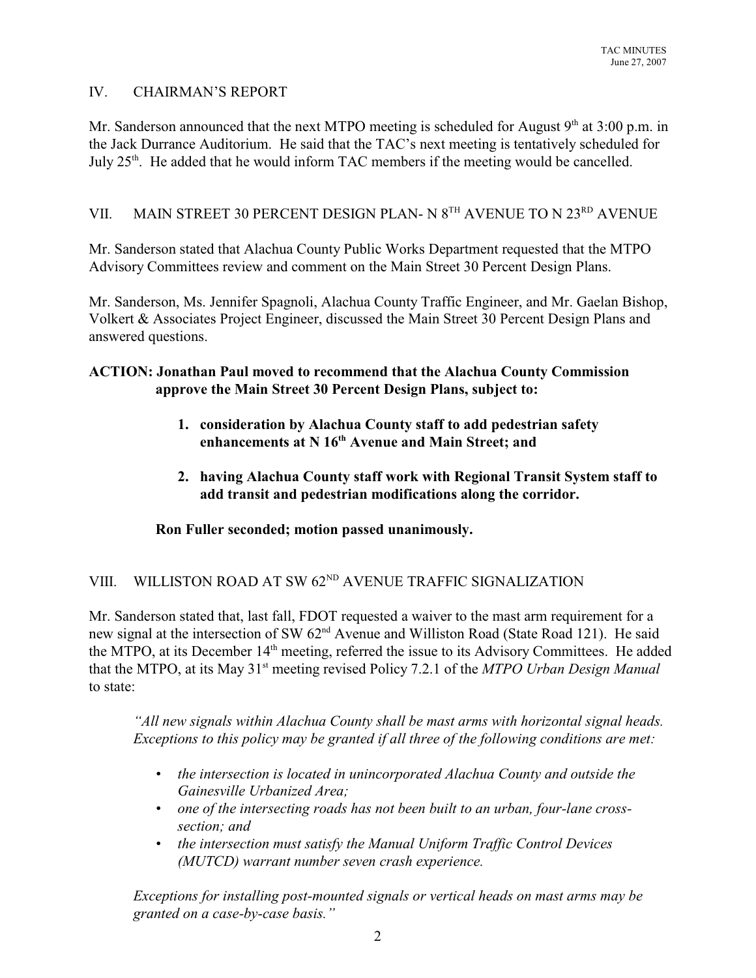## IV. CHAIRMAN'S REPORT

Mr. Sanderson announced that the next MTPO meeting is scheduled for August  $9<sup>th</sup>$  at 3:00 p.m. in the Jack Durrance Auditorium. He said that the TAC's next meeting is tentatively scheduled for July  $25<sup>th</sup>$ . He added that he would inform TAC members if the meeting would be cancelled.

# VII. MAIN STREET 30 PERCENT DESIGN PLAN- N  $8^{TH}$  AVENUE TO N  $23^{RD}$  AVENUE

Mr. Sanderson stated that Alachua County Public Works Department requested that the MTPO Advisory Committees review and comment on the Main Street 30 Percent Design Plans.

Mr. Sanderson, Ms. Jennifer Spagnoli, Alachua County Traffic Engineer, and Mr. Gaelan Bishop, Volkert & Associates Project Engineer, discussed the Main Street 30 Percent Design Plans and answered questions.

## **ACTION: Jonathan Paul moved to recommend that the Alachua County Commission approve the Main Street 30 Percent Design Plans, subject to:**

- **1. consideration by Alachua County staff to add pedestrian safety** enhancements at N 16<sup>th</sup> Avenue and Main Street; and
- **2. having Alachua County staff work with Regional Transit System staff to add transit and pedestrian modifications along the corridor.**

## **Ron Fuller seconded; motion passed unanimously.**

# VIII. WILLISTON ROAD AT SW  $62<sup>ND</sup>$  AVENUE TRAFFIC SIGNALIZATION

Mr. Sanderson stated that, last fall, FDOT requested a waiver to the mast arm requirement for a new signal at the intersection of SW 62<sup>nd</sup> Avenue and Williston Road (State Road 121). He said the MTPO, at its December 14<sup>th</sup> meeting, referred the issue to its Advisory Committees. He added that the MTPO, at its May 31<sup>st</sup> meeting revised Policy 7.2.1 of the *MTPO Urban Design Manual* to state:

*"All new signals within Alachua County shall be mast arms with horizontal signal heads. Exceptions to this policy may be granted if all three of the following conditions are met:*

- *• the intersection is located in unincorporated Alachua County and outside the Gainesville Urbanized Area;*
- *• one of the intersecting roads has not been built to an urban, four-lane crosssection; and*
- *• the intersection must satisfy the Manual Uniform Traffic Control Devices (MUTCD) warrant number seven crash experience.*

*Exceptions for installing post-mounted signals or vertical heads on mast arms may be granted on a case-by-case basis."*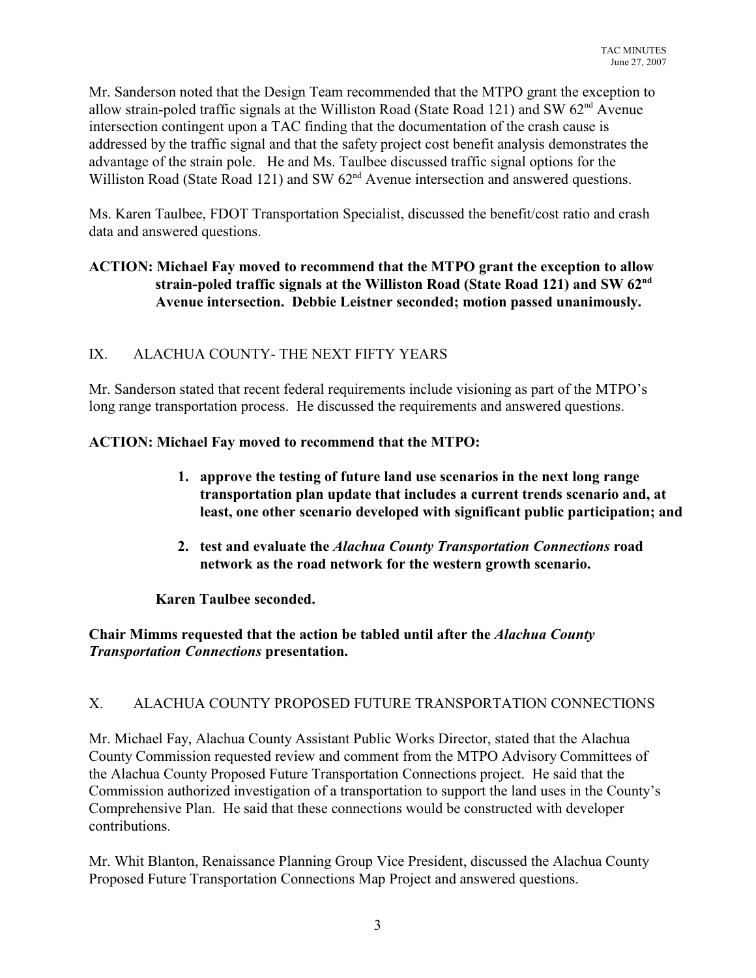Mr. Sanderson noted that the Design Team recommended that the MTPO grant the exception to allow strain-poled traffic signals at the Williston Road (State Road 121) and SW  $62<sup>nd</sup>$  Avenue intersection contingent upon a TAC finding that the documentation of the crash cause is addressed by the traffic signal and that the safety project cost benefit analysis demonstrates the advantage of the strain pole. He and Ms. Taulbee discussed traffic signal options for the Williston Road (State Road 121) and SW  $62<sup>nd</sup>$  Avenue intersection and answered questions.

Ms. Karen Taulbee, FDOT Transportation Specialist, discussed the benefit/cost ratio and crash data and answered questions.

## **ACTION: Michael Fay moved to recommend that the MTPO grant the exception to allow strain-poled traffic signals at the Williston Road (State Road 121) and SW 62nd Avenue intersection. Debbie Leistner seconded; motion passed unanimously.**

# IX. ALACHUA COUNTY- THE NEXT FIFTY YEARS

Mr. Sanderson stated that recent federal requirements include visioning as part of the MTPO's long range transportation process. He discussed the requirements and answered questions.

## **ACTION: Michael Fay moved to recommend that the MTPO:**

- **1. approve the testing of future land use scenarios in the next long range transportation plan update that includes a current trends scenario and, at least, one other scenario developed with significant public participation; and**
- **2. test and evaluate the** *Alachua County Transportation Connections* **road network as the road network for the western growth scenario.**

## **Karen Taulbee seconded.**

## **Chair Mimms requested that the action be tabled until after the** *Alachua County Transportation Connections* **presentation.**

## X. ALACHUA COUNTY PROPOSED FUTURE TRANSPORTATION CONNECTIONS

Mr. Michael Fay, Alachua County Assistant Public Works Director, stated that the Alachua County Commission requested review and comment from the MTPO Advisory Committees of the Alachua County Proposed Future Transportation Connections project. He said that the Commission authorized investigation of a transportation to support the land uses in the County's Comprehensive Plan. He said that these connections would be constructed with developer contributions.

Mr. Whit Blanton, Renaissance Planning Group Vice President, discussed the Alachua County Proposed Future Transportation Connections Map Project and answered questions.